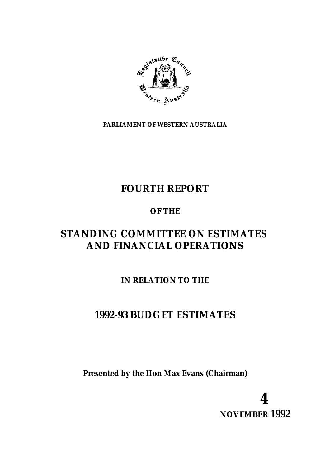

**PARLIAMENT OF WESTERN AUSTRALIA**

# **FOURTH REPORT**

# **OF THE**

# **STANDING COMMITTEE ON ESTIMATES AND FINANCIAL OPERATIONS**

# **IN RELATION TO THE**

# **1992-93 BUDGET ESTIMATES**

**Presented by the Hon Max Evans (Chairman)**

**4 NOVEMBER 1992**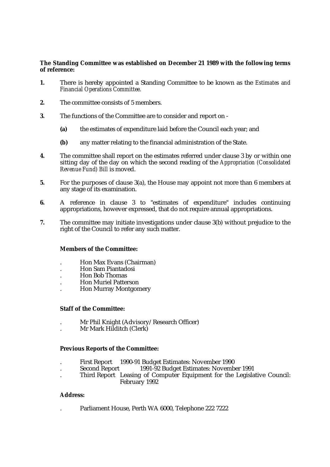#### **The Standing Committee was established on December 21 1989 with the following terms of reference:**

- **1.** There is hereby appointed a Standing Committee to be known as the *Estimates and Financial Operations Committee.*
- **2.** The committee consists of 5 members.
- **3.** The functions of the Committee are to consider and report on
	- **(a)** the estimates of expenditure laid before the Council each year; and
	- **(b)** any matter relating to the financial administration of the State.
- **4.** The committee shall report on the estimates referred under clause 3 by or within one sitting day of the day on which the second reading of the *Appropriation (Consolidated Revenue Fund) Bill* is moved.
- **5.** For the purposes of clause 3(a), the House may appoint not more than 6 members at any stage of its examination.
- **6.** A reference in clause 3 to "estimates of expenditure" includes continuing appropriations, however expressed, that do not require annual appropriations.
- **7.** The committee may initiate investigations under clause 3(b) without prejudice to the right of the Council to refer any such matter.

#### **Members of the Committee:**

- . Hon Max Evans (Chairman)
- . Hon Sam Piantadosi
- . Hon Bob Thomas
- . Hon Muriel Patterson
- . Hon Murray Montgomery

#### **Staff of the Committee:**

- . Mr Phil Knight (Advisory/Research Officer)
- . Mr Mark Hilditch (Clerk)

#### **Previous Reports of the Committee:**

- . First Report 1990-91 Budget Estimates: November 1990
- 1991-92 Budget Estimates: November 1991
- . Third Report Leasing of Computer Equipment for the Legislative Council: February 1992

#### **Address:**

. Parliament House, Perth WA 6000, Telephone 222 7222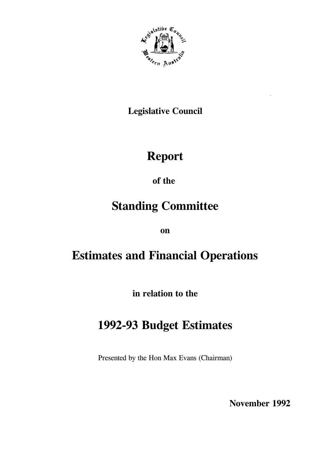

# **Legislative Council**

# **Report**

of the

# **Standing Committee**

on

# **Estimates and Financial Operations**

in relation to the

# 1992-93 Budget Estimates

Presented by the Hon Max Evans (Chairman)

November 1992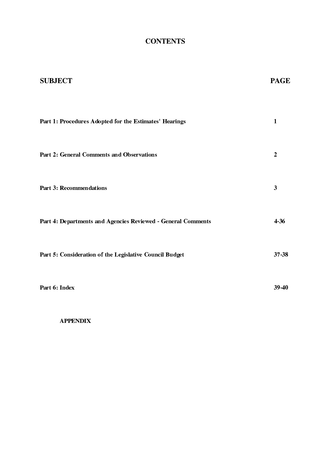## **CONTENTS**

| <b>SUBJECT</b>                                               | <b>PAGE</b>    |
|--------------------------------------------------------------|----------------|
|                                                              |                |
| Part 1: Procedures Adopted for the Estimates' Hearings       | 1              |
| <b>Part 2: General Comments and Observations</b>             | $\overline{2}$ |
| Part 3: Recommendations                                      | 3              |
| Part 4: Departments and Agencies Reviewed - General Comments | 4-36           |
| Part 5: Consideration of the Legislative Council Budget      | 37-38          |
| Part 6: Index                                                | 39-40          |

**APPENDIX**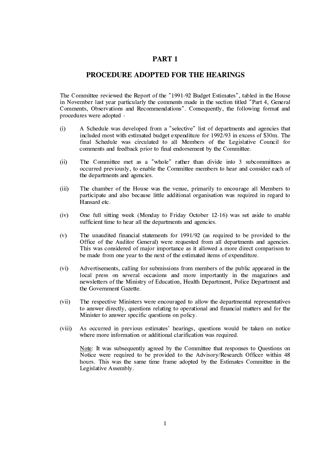#### PART<sub>1</sub>

#### PROCEDURE ADOPTED FOR THE HEARINGS

The Committee reviewed the Report of the "1991-92 Budget Estimates", tabled in the House in November last year particularly the comments made in the section titled "Part 4. General Comments, Observations and Recommendations". Consequently, the following format and procedures were adopted -

- $(i)$ A Schedule was developed from a "selective" list of departments and agencies that included most with estimated budget expenditure for 1992/93 in excess of \$30m. The final Schedule was circulated to all Members of the Legislative Council for comments and feedback prior to final endorsement by the Committee.
- The Committee met as a "whole" rather than divide into 3 subcommittees as  $(i)$ occurred previously, to enable the Committee members to hear and consider each of the departments and agencies.
- $(iii)$ The chamber of the House was the venue, primarily to encourage all Members to participate and also because little additional organisation was required in regard to Hansard etc.
- One full sitting week (Monday to Friday October 12-16) was set aside to enable  $(iv)$ sufficient time to hear all the departments and agencies.
- $(v)$ The unaudited financial statements for 1991/92 (as required to be provided to the Office of the Auditor General) were requested from all departments and agencies. This was considered of major importance as it allowed a more direct comparison to be made from one year to the next of the estimated items of expenditure.
- $(vi)$ Advertisements, calling for submissions from members of the public appeared in the local press on several occasions and more importantly in the magazines and newsletters of the Ministry of Education, Health Department, Police Department and the Government Gazette.
- $(vii)$ The respective Ministers were encouraged to allow the departmental representatives to answer directly, questions relating to operational and financial matters and for the Minister to answer specific questions on policy.
- As occurred in previous estimates' hearings, questions would be taken on notice  $(viii)$ where more information or additional clarification was required.

Note: It was subsequently agreed by the Committee that responses to Questions on Notice were required to be provided to the Advisory/Research Officer within 48 hours. This was the same time frame adopted by the Estimates Committee in the Legislative Assembly.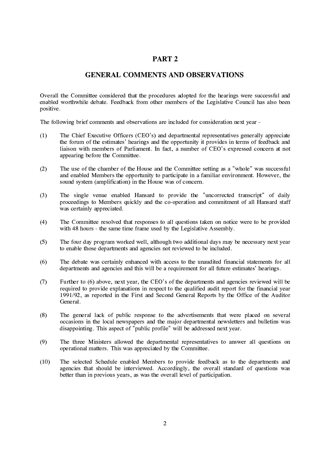#### PART<sub>2</sub>

#### **GENERAL COMMENTS AND OBSERVATIONS**

Overall the Committee considered that the procedures adopted for the hearings were successful and enabled worthwhile debate. Feedback from other members of the Legislative Council has also been positive.

The following brief comments and observations are included for consideration next vear -

- The Chief Executive Officers (CEO's) and departmental representatives generally appreciate  $(1)$ the forum of the estimates' hearings and the opportunity it provides in terms of feedback and liaison with members of Parliament. In fact, a number of CEO's expressed concern at not appearing before the Committee.
- The use of the chamber of the House and the Committee setting as a "whole" was successful  $(2)$ and enabled Members the opportunity to participate in a familiar environment. However, the sound system (amplification) in the House was of concern.
- The single venue enabled Hansard to provide the "uncorrected transcript" of daily  $(3)$ proceedings to Members quickly and the co-operation and commitment of all Hansard staff was certainly appreciated.
- $(4)$ The Committee resolved that responses to all questions taken on notice were to be provided with 48 hours - the same time frame used by the Legislative Assembly.
- The four day program worked well, although two additional days may be necessary next year  $(5)$ to enable those departments and agencies not reviewed to be included.
- $(6)$ The debate was certainly enhanced with access to the unaudited financial statements for all departments and agencies and this will be a requirement for all future estimates' hearings.
- $(7)$ Further to (6) above, next year, the CEO's of the departments and agencies reviewed will be required to provide explanations in respect to the qualified audit report for the financial year 1991/92, as reported in the First and Second General Reports by the Office of the Auditor General.
- $(8)$ The general lack of public response to the advertisements that were placed on several occasions in the local newspapers and the major departmental newsletters and bulletins was disappointing. This aspect of "public profile" will be addressed next year.
- $(9)$ The three Ministers allowed the departmental representatives to answer all questions on operational matters. This was appreciated by the Committee.
- $(10)$ The selected Schedule enabled Members to provide feedback as to the departments and agencies that should be interviewed. Accordingly, the overall standard of questions was better than in previous years, as was the overall level of participation.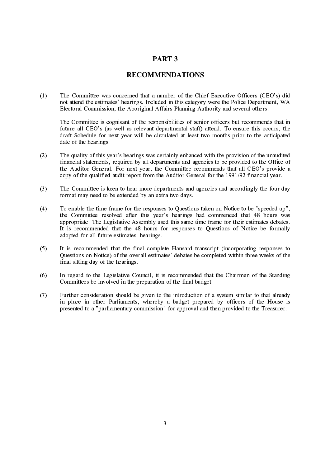#### PART<sub>3</sub>

#### **RECOMMENDATIONS**

The Committee was concerned that a number of the Chief Executive Officers (CEO's) did  $(1)$ not attend the estimates' hearings. Included in this category were the Police Department, WA Electoral Commission, the Aboriginal Affairs Planning Authority and several others.

The Committee is cognisant of the responsibilities of senior officers but recommends that in future all CEO's (as well as relevant departmental staff) attend. To ensure this occurs, the draft Schedule for next year will be circulated at least two months prior to the anticipated date of the hearings.

- $(2)$ The quality of this year's hearings was certainly enhanced with the provision of the unaudited financial statements, required by all departments and agencies to be provided to the Office of the Auditor General. For next year, the Committee recommends that all CEO's provide a copy of the qualified audit report from the Auditor General for the 1991/92 financial year.
- $(3)$ The Committee is keen to hear more departments and agencies and accordingly the four day format may need to be extended by an extra two days.
- $(4)$ To enable the time frame for the responses to Ouestions taken on Notice to be "speeded up". the Committee resolved after this year's hearings had commenced that 48 hours was appropriate. The Legislative Assembly used this same time frame for their estimates debates. It is recommended that the 48 hours for responses to Questions of Notice be formally adopted for all future estimates' hearings.
- $(5)$ It is recommended that the final complete Hansard transcript (incorporating responses to Questions on Notice) of the overall estimates' debates be completed within three weeks of the final sitting day of the hearings.
- $(6)$ In regard to the Legislative Council, it is recommended that the Chairmen of the Standing Committees be involved in the preparation of the final budget.
- $(7)$ Further consideration should be given to the introduction of a system similar to that already in place in other Parliaments, whereby a budget prepared by officers of the House is presented to a "parliamentary commission" for approval and then provided to the Treasurer.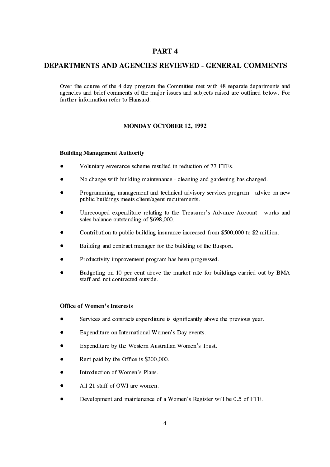#### PART<sub>4</sub>

#### **DEPARTMENTS AND AGENCIES REVIEWED - GENERAL COMMENTS**

Over the course of the 4 day program the Committee met with 48 separate departments and agencies and brief comments of the major issues and subjects raised are outlined below. For further information refer to Hansard.

#### **MONDAY OCTOBER 12, 1992**

#### **Building Management Authority**

- $\bullet$ Voluntary severance scheme resulted in reduction of 77 FTEs.
- No change with building maintenance cleaning and gardening has changed.
- Programming, management and technical advisory services program advice on new public buildings meets client/agent requirements.
- Unrecouped expenditure relating to the Treasurer's Advance Account works and sales balance outstanding of \$698,000.
- Contribution to public building insurance increased from \$500,000 to \$2 million.
- Building and contract manager for the building of the Busport.
- Productivity improvement program has been progressed.
- Budgeting on 10 per cent above the market rate for buildings carried out by BMA staff and not contracted outside.

#### **Office of Women's Interests**

- Services and contracts expenditure is significantly above the previous year.
- Expenditure on International Women's Day events.
- Expenditure by the Western Australian Women's Trust.
- Rent paid by the Office is \$300,000.
- Introduction of Women's Plans.
- All 21 staff of OWI are women.
- Development and maintenance of a Women's Register will be 0.5 of FTE.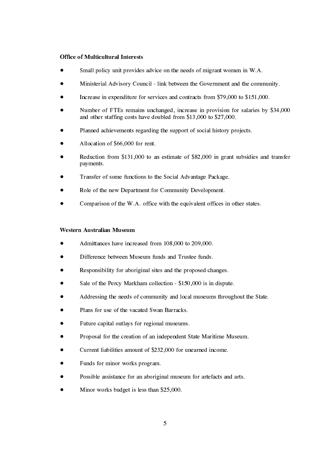#### **Office of Multicultural Interests**

- Small policy unit provides advice on the needs of migrant women in W.A.
- Ministerial Advisory Council link between the Government and the community.
- Increase in expenditure for services and contracts from \$79,000 to \$151,000.
- Number of FTEs remains unchanged, increase in provision for salaries by \$34,000 and other staffing costs have doubled from \$13,000 to \$27,000.
- Planned achievements regarding the support of social history projects.
- Allocation of \$66,000 for rent.
- Reduction from \$131,000 to an estimate of \$82,000 in grant subsidies and transfer payments.
- Transfer of some functions to the Social Advantage Package.
- Role of the new Department for Community Development.
- Comparison of the W.A. office with the equivalent offices in other states.

#### Western Australian Museum

- Admittances have increased from 108,000 to 209,000.
- Difference between Museum funds and Trustee funds.
- Responsibility for aboriginal sites and the proposed changes.
- Sale of the Percy Markham collection \$150,000 is in dispute.
- Addressing the needs of community and local museums throughout the State.
- Plans for use of the vacated Swan Barracks.
- Future capital outlays for regional museums.
- Proposal for the creation of an independent State Maritime Museum.
- Current liabilities amount of \$232,000 for unearned income.
- Funds for minor works program.
- Possible assistance for an aboriginal museum for artefacts and arts.
- Minor works budget is less than \$25,000.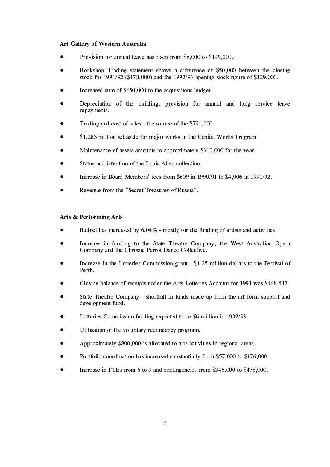#### Art Gallery of Western Australia

- Provision for annual leave has risen from \$8,000 to \$199,000.
- Bookshop Trading statement shows a difference of \$50,000 between the closing stock for  $1991/92$  (\$178,000) and the 1992/93 opening stock figure of \$129,000.
- Increased sum of \$650,000 to the acquisitions budget.
- Depreciation of the building, provision for annual and long service leave repayments.
- Trading and cost of sales the source of the \$791,000.
- \$1.285 million set aside for major works in the Capital Works Program.
- Maintenance of assets amounts to approximately \$310,000 for the year.
- Status and intention of the Louis Allen collection.
- Increase in Board Members' fees from \$609 in 1990/91 to \$4,906 in 1991/92.
- Revenue from the "Secret Treasures of Russia".

#### Arts & Performing Arts

- Budget has increased by  $6.04\%$  mostly for the funding of artists and activities.
- Increase in funding to the State Theatre Company, the West Australian Opera Company and the Chrissie Parrot Dance Collective.
- Increase in the Lotteries Commission grant \$1.25 million dollars to the Festival of Perth.
- Closing balance of receipts under the Arts Lotteries Account for 1991 was \$468.517.
- State Theatre Company shortfall in funds made up from the art form support and development fund.
- Lotteries Commission funding expected to be \$6 million in 1992/93.
- Utilisation of the voluntary redundancy program.
- Approximately \$800,000 is allocated to arts activities in regional areas.
- Portfolio coordination has increased substantially from \$57,000 to \$176,000.
- Increase in FTEs from 6 to 9 and contingencies from \$346,000 to \$478,000.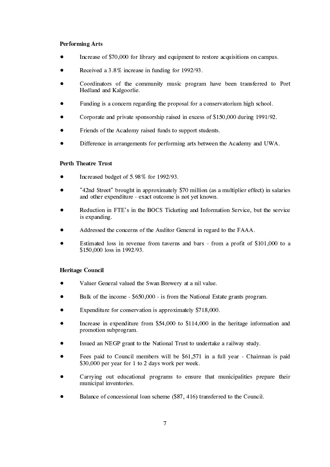#### **Performing Arts**

- Increase of \$70,000 for library and equipment to restore acquisitions on campus.
- Received a 3.8% increase in funding for 1992/93.
- Coordinators of the community music program have been transferred to Port Hedland and Kalgoorlie.
- Funding is a concern regarding the proposal for a conservatorium high school.
- Corporate and private sponsorship raised in excess of \$150,000 during 1991/92.
- Friends of the Academy raised funds to support students.
- Difference in arrangements for performing arts between the Academy and UWA.

#### **Perth Theatre Trust**

- Increased budget of 5.98% for 1992/93.
- "42nd Street" brought in approximately \$70 million (as a multiplier effect) in salaries and other expenditure - exact outcome is not yet known.
- Reduction in FTE's in the BOCS Ticketing and Information Service, but the service is expanding.
- Addressed the concerns of the Auditor General in regard to the FAAA.
- Estimated loss in revenue from taverns and bars from a profit of \$101,000 to a \$150,000 loss in 1992/93.

#### **Heritage Council**

- Valuer General valued the Swan Brewery at a nil value.
- Bulk of the income \$650,000 is from the National Estate grants program.
- Expenditure for conservation is approximately \$718,000.
- Increase in expenditure from \$54,000 to \$114,000 in the heritage information and promotion subprogram.
- Issued an NEGP grant to the National Trust to undertake a railway study.
- Fees paid to Council members will be \$61,571 in a full year Chairman is paid \$30,000 per year for 1 to 2 days work per week.
- Carrying out educational programs to ensure that municipalities prepare their municipal inventories.
- Balance of concessional loan scheme (\$87, 416) transferred to the Council.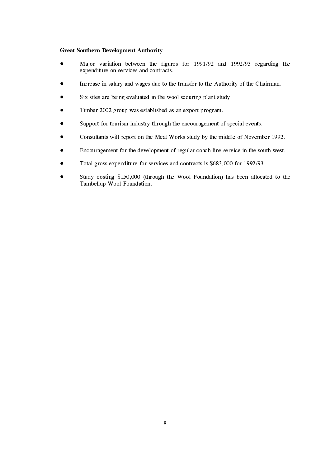#### **Great Southern Development Authority**

- Major variation between the figures for 1991/92 and 1992/93 regarding the expenditure on services and contracts.
- Increase in salary and wages due to the transfer to the Authority of the Chairman.
- Six sites are being evaluated in the wool scouring plant study.
- Timber 2002 group was established as an export program.
- Support for tourism industry through the encouragement of special events.
- Consultants will report on the Meat Works study by the middle of November 1992.
- Encouragement for the development of regular coach line service in the south-west.
- Total gross expenditure for services and contracts is \$683,000 for 1992/93.
- Study costing \$150,000 (through the Wool Foundation) has been allocated to the Tambellup Wool Foundation.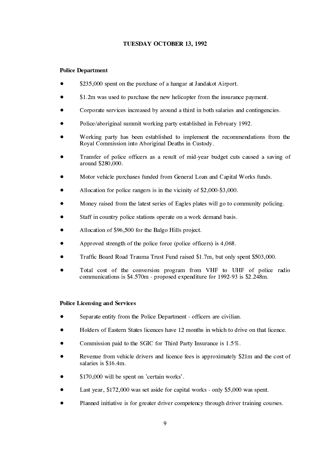#### TUESDAY OCTOBER 13, 1992

#### **Police Department**

- \$235,000 spent on the purchase of a hangar at Jandakot Airport.
- \$1.2m was used to purchase the new helicopter from the insurance payment.
- Corporate services increased by around a third in both salaries and contingencies.
- Police/aboriginal summit working party established in February 1992.
- Working party has been established to implement the recommendations from the Roval Commission into Aboriginal Deaths in Custody.
- Transfer of police officers as a result of mid-vear budget cuts caused a saving of around \$280.000.
- Motor vehicle purchases funded from General Loan and Capital Works funds.
- Allocation for police rangers is in the vicinity of \$2,000-\$3,000.
- Money raised from the latest series of Eagles plates will go to community policing.
- Staff in country police stations operate on a work demand basis.
- Allocation of \$96,500 for the Balgo Hills project.
- Approved strength of the police force (police officers) is 4,068.
- Traffic Board Road Trauma Trust Fund raised \$1.7m, but only spent \$503,000.
- Total cost of the conversion program from VHF to UHF of police radio communications is \$4.570m - proposed expenditure for 1992-93 is \$2.248m.

#### **Police Licensing and Services**

- Separate entity from the Police Department officers are civilian.
- Holders of Eastern States licences have 12 months in which to drive on that licence.
- Commission paid to the SGIC for Third Party Insurance is 1.5%.
- Revenue from vehicle drivers and licence fees is approximately \$21m and the cost of salaries is \$16.4m.
- \$170,000 will be spent on 'certain works'.
- Last year, \$172,000 was set aside for capital works only \$5,000 was spent.
- Planned initiative is for greater driver competency through driver training courses.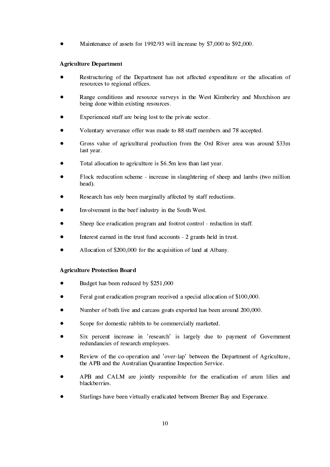Maintenance of assets for 1992/93 will increase by \$7,000 to \$92,000.

#### **Agriculture Department**

- Restructuring of the Department has not affected expenditure or the allocation of resources to regional offices.
- Range conditions and resource surveys in the West Kimberley and Murchison are being done within existing resources.
- Experienced staff are being lost to the private sector.
- Voluntary severance offer was made to 88 staff members and 78 accepted.
- Gross value of agricultural production from the Ord River area was around \$33m last year.
- Total allocation to agriculture is \$6.5m less than last year.
- Flock reducution scheme increase in slaughtering of sheep and lambs (two million head).
- Research has only been marginally affected by staff reductions.
- Involvement in the beef industry in the South West.
- Sheep lice eradication program and footrot control reduction in staff.
- Interest earned in the trust fund accounts 2 grants held in trust.
- Allocation of \$200,000 for the acquisition of land at Albany.

#### **Agriculture Protection Board**

- Budget has been reduced by \$251,000
- Feral goat eradication program received a special allocation of \$100,000.
- Number of both live and carcass goats exported has been around 200,000.
- Scope for domestic rabbits to be commercially marketed.
- Six percent increase in 'research' is largely due to payment of Government redundancies of research employees.
- Review of the co-operation and 'over-lap' between the Department of Agriculture. the APB and the Australian Quarantine Inspection Service.
- APB and CALM are jointly responsible for the eradication of arum lilies and blackberries.
- Starlings have been virtually eradicated between Bremer Bay and Esperance.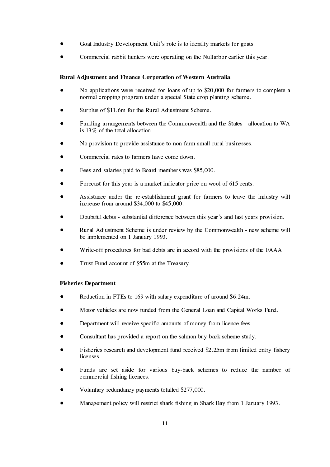- Goat Industry Development Unit's role is to identify markets for goats.
- Commercial rabbit hunters were operating on the Nullarbor earlier this year.

#### Rural Adjustment and Finance Corporation of Western Australia

- No applications were received for loans of up to \$20,000 for farmers to complete a normal cropping program under a special State crop planting scheme.
- Surplus of \$11.6m for the Rural Adjustment Scheme.
- Funding arrangements between the Commonwealth and the States allocation to WA is 13% of the total allocation.
- No provision to provide assistance to non-farm small rural businesses.
- Commercial rates to farmers have come down.
- Fees and salaries paid to Board members was \$85,000.
- Forecast for this year is a market indicator price on wool of 615 cents.
- Assistance under the re-establishment grant for farmers to leave the industry will increase from around  $$34,000$  to  $$45,000$ .
- Doubtful debts substantial difference between this year's and last years provision.
- Rural Adjustment Scheme is under review by the Commonwealth new scheme will be implemented on 1 January 1993.
- Write-off procedures for bad debts are in accord with the provisions of the FAAA.
- Trust Fund account of \$55m at the Treasury.

#### **Fisheries Department**

- Reduction in FTEs to 169 with salary expenditure of around \$6.24m.
- Motor vehicles are now funded from the General Loan and Capital Works Fund.
- Department will receive specific amounts of money from licence fees.
- Consultant has provided a report on the salmon buy-back scheme study.
- Fisheries research and development fund received \$2.25m from limited entry fishery licenses.
- Funds are set aside for various buy-back schemes to reduce the number of commercial fishing licences.
- Voluntary redundancy payments totalled \$277,000.
- Management policy will restrict shark fishing in Shark Bay from 1 January 1993.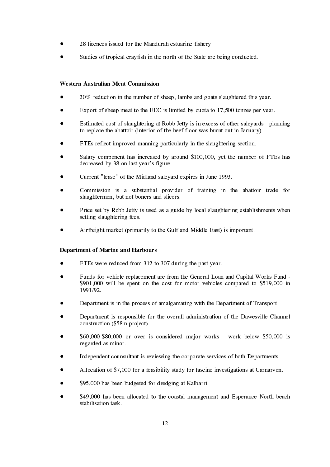- 28 licences issued for the Mandurah estuarine fishery.
- Studies of tropical crayfish in the north of the State are being conducted.

#### **Western Australian Meat Commission**

- 30% reduction in the number of sheep, lambs and goats slaughtered this year.
- Export of sheep meat to the EEC is limited by quota to 17,500 tonnes per year.
- Estimated cost of slaughtering at Robb Jetty is in excess of other saleyards planning to replace the abattoir (interior of the beef floor was burnt out in January).
- FTEs reflect improved manning particularly in the slaughtering section.
- Salary component has increased by around \$100,000, yet the number of FTEs has decreased by 38 on last year's figure.
- Current "lease" of the Midland saleyard expires in June 1993.
- Commission is a substantial provider of training in the abattoir trade for slaughtermen, but not boners and slicers.
- Price set by Robb Jetty is used as a guide by local slaughtering establishments when setting slaughtering fees.
- Airfreight market (primarily to the Gulf and Middle East) is important.

#### **Department of Marine and Harbours**

- FTEs were reduced from 312 to 307 during the past year.
- Funds for vehicle replacement are from the General Loan and Capital Works Fund -\$901,000 will be spent on the cost for motor vehicles compared to \$519,000 in 1991/92
- Department is in the process of amalgamating with the Department of Transport.
- Department is responsible for the overall administration of the Dawesville Channel construction (\$58m project).
- \$60,000-\$80,000 or over is considered major works work below \$50,000 is regarded as minor.
- Independent counsultant is reviewing the corporate services of both Departments.
- Allocation of \$7,000 for a feasibility study for fascine investigations at Carnarvon.
- \$95,000 has been budgeted for dredging at Kalbarri.
- \$49,000 has been allocated to the coastal management and Esperance North beach stabilisation task.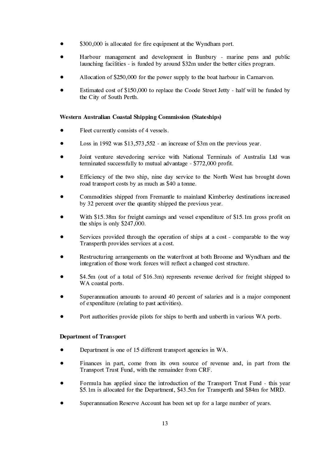- \$300,000 is allocated for fire equipment at the Wyndham port.
- Harbour management and development in Bunbury marine pens and public launching facilities - is funded by around \$32m under the better cities program.
- Allocation of \$250,000 for the power supply to the boat harbour in Carnarvon.
- Estimated cost of \$150,000 to replace the Coode Street Jetty half will be funded by the City of South Perth.

#### Western Australian Coastal Shipping Commission (Stateships)

- Fleet currently consists of 4 vessels.
- Loss in 1992 was  $$13.573.552$  an increase of  $$3m$  on the previous vear.
- Joint venture stevedoring service with National Terminals of Australia Ltd was terminated successfully to mutual advantage - \$772,000 profit.
- Efficiency of the two ship, nine day service to the North West has brought down road transport costs by as much as \$40 a tonne.
- Commodities shipped from Fremantle to mainland Kimberley destinations increased by 32 percent over the quantity shipped the previous year.
- With \$15.38m for freight earnings and vessel expenditure of \$15.1m gross profit on the ships is only  $$247,000$ .
- Services provided through the operation of ships at a cost comparable to the way Transperth provides services at a cost.
- Restructuring arrangements on the waterfront at both Broome and Wyndham and the integration of those work forces will reflect a changed cost structure.
- \$4.5m (out of a total of \$16.3m) represents revenue derived for freight shipped to WA coastal ports.
- Superannuation amounts to around 40 percent of salaries and is a major component of expenditure (relating to past activities).
- Port authorities provide pilots for ships to berth and unberth in various WA ports.

#### **Department of Transport**

- Department is one of 15 different transport agencies in WA.
- Finances in part, come from its own source of revenue and, in part from the Transport Trust Fund, with the remainder from CRF.
- Formula has applied since the introduction of the Transport Trust Fund this year \$5.1m is allocated for the Department, \$43.5m for Transperth and \$84m for MRD.
- Superannuation Reserve Account has been set up for a large number of years.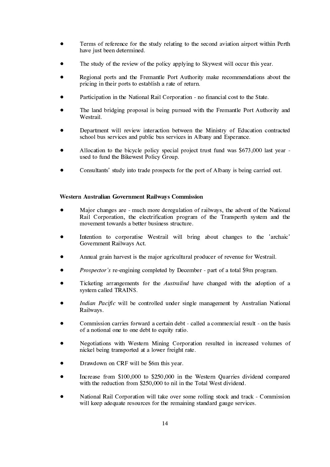- Terms of reference for the study relating to the second aviation airport within Perth have just been determined.
- The study of the review of the policy applying to Skywest will occur this year.
- Regional ports and the Fremantle Port Authority make recommendations about the pricing in their ports to establish a rate of return.
- Participation in the National Rail Corporation no financial cost to the State.
- The land bridging proposal is being pursued with the Fremantle Port Authority and Westrail.
- Department will review interaction between the Ministry of Education contracted school bus services and public bus services in Albany and Esperance.
- Allocation to the bicycle policy special project trust fund was \$673,000 last year used to fund the Bikewest Policy Group.
- Consultants' study into trade prospects for the port of Albany is being carried out.

#### Western Australian Government Railways Commission

- Major changes are much more deregulation of railways, the advent of the National Rail Corporation, the electrification program of the Transperth system and the movement towards a better business structure.
- Intention to corporatise Westrail will bring about changes to the 'archaic' Government Railways Act.
- Annual grain harvest is the major agricultural producer of revenue for Westrail.
- *Prospector's* re-engining completed by December part of a total \$9m program.
- Ticketing arrangements for the *Australind* have changed with the adoption of a system called TRAINS.
- *Indian Pacific* will be controlled under single management by Australian National Railways.
- Commission carries forward a certain debt called a commercial result on the basis of a notional one to one debt to equity ratio.
- Negotiations with Western Mining Corporation resulted in increased volumes of nickel being transported at a lower freight rate.
- Drawdown on CRF will be \$6m this year.
- Increase from \$100,000 to \$250,000 in the Western Ouarries dividend compared with the reduction from \$250,000 to nil in the Total West dividend.
- National Rail Corporation will take over some rolling stock and track Commission will keep adequate resources for the remaining standard gauge services.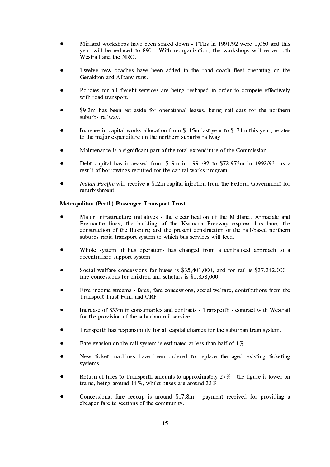- $\bullet$ Midland workshops have been scaled down - FTEs in  $1991/92$  were 1,060 and this year will be reduced to 890. With reorganisation, the workshops will serve both Westrail and the NRC.
- $\bullet$ Twelve new coaches have been added to the road coach fleet operating on the Geraldton and Albany runs.
- $\bullet$ Policies for all freight services are being reshaped in order to compete effectively with road transport.
- $\bullet$ \$9.3m has been set aside for operational leases, being rail cars for the northern suburbs railway.
- $\bullet$ Increase in capital works allocation from  $$115m$  last year to  $$171m$  this year, relates to the major expenditure on the northern suburbs railway.
- $\bullet$ Maintenance is a significant part of the total expenditure of the Commission.
- $\bullet$ Debt capital has increased from \$19m in  $1991/92$  to \$72.973m in  $1992/93$ , as a result of borrowings required for the capital works program.
- $\bullet$ *Indian Pacific* will receive a \$12m capital injection from the Federal Government for refurbishment.

#### Metropolitan (Perth) Passenger Transport Trust

- $\bullet$ Major infrastructure initiatives - the electrification of the Midland, Armadale and Fremantle lines; the building of the Kwinana Freeway express bus lane; the construction of the Busport; and the present construction of the rail-based northern suburbs rapid transport system to which bus services will feed.
- $\bullet$ Whole system of bus operations has changed from a centralised approach to a decentralised support system.
- $\bullet$ Social welfare concessions for buses is  $$35,401,000$ , and for rail is  $$37,342,000$  fare concessions for children and scholars is  $$1.858,000$ .
- $\bullet$ Five income streams - fares, fare concessions, social welfare, contributions from the Transport Trust Fund and CRF.
- $\bullet$ Increase of \$33m in consumables and contracts - Transperth's contract with Westrail for the provision of the suburban rail service.
- $\bullet$ Transperth has responsibility for all capital charges for the suburban train system.
- $\bullet$ Fare evasion on the rail system is estimated at less than half of  $1\%$ .
- $\bullet$ New ticket machines have been ordered to replace the aged existing ticketing systems.
- $\bullet$ Return of fares to Transperth amounts to approximately  $27\%$  - the figure is lower on trains, being around  $14\%$ , whilst buses are around  $33\%$ .
- $\bullet$ Concessional fare recoup is around  $$17.8m$  - payment received for providing a cheaper fare to sections of the community.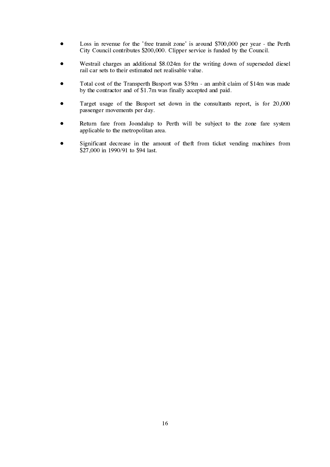- Loss in revenue for the 'free transit zone' is around \$700,000 per year the Perth  $\bullet$ City Council contributes \$200,000. Clipper service is funded by the Council.
- Westrail charges an additional \$8.024m for the writing down of superseded diesel rail car sets to their estimated net realisable value.
- Total cost of the Transperth Busport was \$39m an ambit claim of \$14m was made by the contractor and of \$1.7m was finally accepted and paid.
- Target usage of the Busport set down in the consultants report, is for 20,000 passenger movements per day.
- Return fare from Joondalup to Perth will be subject to the zone fare system applicable to the metropolitan area.
- Significant decrease in the amount of theft from ticket vending machines from  $\bullet$ \$27,000 in 1990/91 to \$94 last.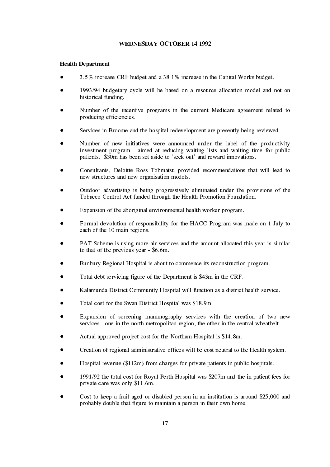#### **WEDNESDAY OCTOBER 14 1992**

#### **Health Department**

- 3.5% increase CRF budget and a 38.1% increase in the Capital Works budget.
- 1993/94 budgetary cycle will be based on a resource allocation model and not on historical funding.
- Number of the incentive programs in the current Medicare agreement related to producing efficiencies.
- Services in Broome and the hospital redevelopment are presently being reviewed.
- Number of new initiatives were announced under the label of the productivity investment program - aimed at reducing waiting lists and waiting time for public patients. \$30m has been set aside to 'seek out' and reward innovations.
- Consultants, Deloitte Ross Tohmatsu provided recommendations that will lead to new structures and new organisation models.
- Outdoor advertising is being progressively eliminated under the provisions of the Tobacco Control Act funded through the Health Promotion Foundation.
- Expansion of the aboriginal environmental health worker program.
- Formal devolution of responsibility for the HACC Program was made on 1 July to each of the 10 main regions.
- PAT Scheme is using more air services and the amount allocated this year is similar to that of the previous year  $-$  \$6.6m.
- Bunbury Regional Hospital is about to commence its reconstruction program.
- Total debt servicing figure of the Department is \$43m in the CRF.
- Kalamunda District Community Hospital will function as a district health service.
- Total cost for the Swan District Hospital was \$18.9m.
- Expansion of screening mammography services with the creation of two new services - one in the north metropolitan region, the other in the central wheatbelt.
- Actual approved project cost for the Northam Hospital is \$14.8m.
- Creation of regional administrative offices will be cost neutral to the Health system.
- Hospital revenue (\$112m) from charges for private patients in public hospitals.
- 1991/92 the total cost for Royal Perth Hospital was \$207m and the in-patient fees for private care was only \$11.6m.
- Cost to keep a frail aged or disabled person in an institution is around \$25,000 and probably double that figure to maintain a person in their own home.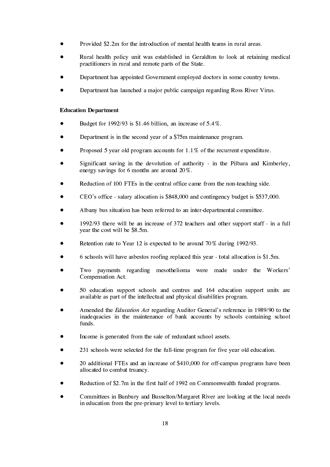- Provided \$2.2m for the introduction of mental health teams in rural areas.
- Rural health policy unit was established in Geraldton to look at retaining medical practitioners in rural and remote parts of the State.
- Department has appointed Government employed doctors in some country towns.
- Department has launched a major public campaign regarding Ross River Virus.

#### **Education Department**

- Budget for 1992/93 is \$1.46 billion, an increase of  $5.4\%$ .
- Department is in the second year of a \$75m maintenance program.
- Proposed 5 year old program accounts for  $1.1\%$  of the recurrent expenditure.
- Significant saving in the devolution of authority in the Pilbara and Kimberley. energy savings for  $6$  months are around  $20\%$ .
- Reduction of 100 FTEs in the central office came from the non-teaching side.
- CEO's office salary allocation is \$848,000 and contingency budget is \$537,000.
- Albany bus situation has been referred to an inter-departmental committee.
- 1992/93 there will be an increase of 372 teachers and other support staff in a full vear the cost will be \$8.5m.
- Retention rate to Year 12 is expected to be around 70% during 1992/93.
- 6 schools will have asbestos roofing replaced this year total allocation is \$1.5m.
- Two payments regarding mesothelioma were made under the Workers' Compensation Act.
- 50 education support schools and centres and 164 education support units are available as part of the intellectual and physical disabilities program.
- Amended the *Education Act* regarding Auditor General's reference in 1989/90 to the inadequacies in the maintenance of bank accounts by schools containing school funds.
- Income is generated from the sale of redundant school assets.
- 231 schools were selected for the full-time program for five year old education.
- 20 additional FTEs and an increase of \$410,000 for off-campus programs have been allocated to combat truancy.
- Reduction of \$2.7m in the first half of 1992 on Commonwealth funded programs.
- Committees in Bunbury and Busselton/Margaret River are looking at the local needs in education from the pre-primary level to tertiary levels.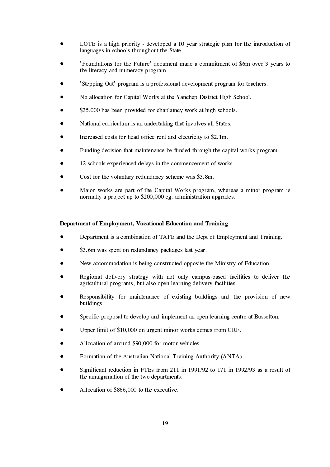- LOTE is a high priority developed a 10 year strategic plan for the introduction of languages in schools throughout the State.
- 'Foundations for the Future' document made a commitment of \$6m over 3 years to the literacy and numeracy program.
- 'Stepping Out' program is a professional development program for teachers.
- No allocation for Capital Works at the Yanchep District High School.
- \$35,000 has been provided for chaplaincy work at high schools.
- National curriculum is an undertaking that involves all States.
- Increased costs for head office rent and electricity to \$2.1m.
- Funding decision that maintenance be funded through the capital works program.
- 12 schools experienced delays in the commencement of works.
- Cost for the voluntary redundancy scheme was \$3.8m.
- Major works are part of the Capital Works program, whereas a minor program is normally a project up to \$200,000 eg. administration upgrades.

#### Department of Employment, Vocational Education and Training

- Department is a combination of TAFE and the Dept of Employment and Training.
- \$3.6m was spent on redundancy packages last year.
- New accommodation is being constructed opposite the Ministry of Education.
- Regional delivery strategy with not only campus-based facilities to deliver the agricultural programs, but also open learning delivery facilities.
- Responsibility for maintenance of existing buildings and the provision of new buildings.
- Specific proposal to develop and implement an open learning centre at Busselton.
- Upper limit of \$10,000 on urgent minor works comes from CRF.
- Allocation of around \$90,000 for motor vehicles.
- Formation of the Australian National Training Authority (ANTA).
- Significant reduction in FTEs from 211 in 1991/92 to 171 in 1992/93 as a result of the amalgamation of the two departments.
- Allocation of \$866,000 to the executive.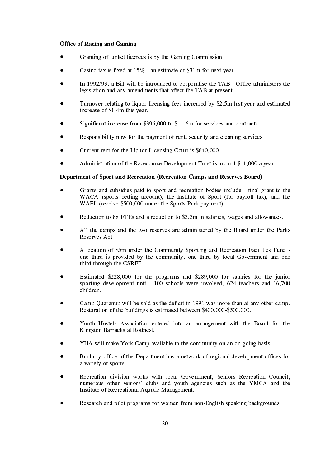#### **Office of Racing and Gaming**

- Granting of junket licences is by the Gaming Commission.
- Casino tax is fixed at  $15\%$  an estimate of \$31m for next year.
- In 1992/93, a Bill will be introduced to corporatise the TAB Office administers the legislation and any amendments that affect the TAB at present.
- Turnover relating to liquor licensing fees increased by \$2.5m last year and estimated increase of \$1.4m this year.
- Significant increase from \$396,000 to \$1.16m for services and contracts.
- Responsibility now for the payment of rent, security and cleaning services.
- Current rent for the Liquor Licensing Court is \$640,000.
- Administration of the Racecourse Development Trust is around \$11,000 a vear.

#### Department of Sport and Recreation (Recreation Camps and Reserves Board)

- Grants and subsidies paid to sport and recreation bodies include final grant to the WACA (sports betting account); the Institute of Sport (for payroll tax); and the WAFL (receive \$500,000 under the Sports Park payment).
- Reduction to 88 FTEs and a reduction to \$3.3m in salaries, wages and allowances.
- All the camps and the two reserves are administered by the Board under the Parks Reserves Act.
- Allocation of \$5m under the Community Sporting and Recreation Facilities Fund one third is provided by the community, one third by local Government and one third through the CSRFF.
- Estimated \$228,000 for the programs and \$289,000 for salaries for the junior sporting development unit -  $100$  schools were involved, 624 teachers and 16,700 children
- Camp Ouaranup will be sold as the deficit in 1991 was more than at any other camp. Restoration of the buildings is estimated between \$400,000-\$500,000.
- Youth Hostels Association entered into an arrangement with the Board for the Kingston Barracks at Rottnest.
- YHA will make York Camp available to the community on an on-going basis.
- Bunbury office of the Department has a network of regional development offices for a variety of sports.
- Recreation division works with local Government. Seniors Recreation Council. numerous other seniors' clubs and youth agencies such as the YMCA and the Institute of Recreational Aquatic Management.
- Research and pilot programs for women from non-English speaking backgrounds.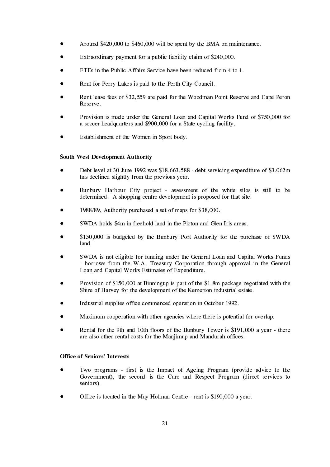- Around \$420,000 to \$460,000 will be spent by the BMA on maintenance.
- Extraordinary payment for a public liability claim of \$240,000.
- FTEs in the Public Affairs Service have been reduced from 4 to 1.
- Rent for Perry Lakes is paid to the Perth City Council.
- Rent lease fees of \$32,559 are paid for the Woodman Point Reserve and Cape Peron Reserve.
- Provision is made under the General Loan and Capital Works Fund of \$750,000 for a soccer headquarters and \$900,000 for a State cycling facility.
- Establishment of the Women in Sport body.

#### **South West Development Authority**

- Debt level at 30 June 1992 was \$18,663,588 debt servicing expenditure of \$3.062m has declined slightly from the previous year.
- Bunbury Harbour City project assessment of the white silos is still to be determined. A shopping centre development is proposed for that site.
- 1988/89, Authority purchased a set of maps for \$38,000.
- SWDA holds \$4m in freehold land in the Picton and Glen Iris areas.
- \$150,000 is budgeted by the Bunbury Port Authority for the purchase of SWDA  $land.$
- SWDA is not eligible for funding under the General Loan and Capital Works Funds - borrows from the W.A. Treasury Corporation through approval in the General Loan and Capital Works Estimates of Expenditure.
- Provision of \$150,000 at Binningup is part of the \$1.8m package negotiated with the Shire of Harvey for the development of the Kemerton industrial estate.
- Industrial supplies office commenced operation in October 1992.
- Maximum cooperation with other agencies where there is potential for overlap.
- Rental for the 9th and 10th floors of the Bunbury Tower is \$191,000 a year there are also other rental costs for the Manjimup and Mandurah offices.

#### **Office of Seniors' Interests**

- Two programs first is the Impact of Ageing Program (provide advice to the Government), the second is the Care and Respect Program (direct services to seniors).
- Office is located in the May Holman Centre rent is \$190,000 a year.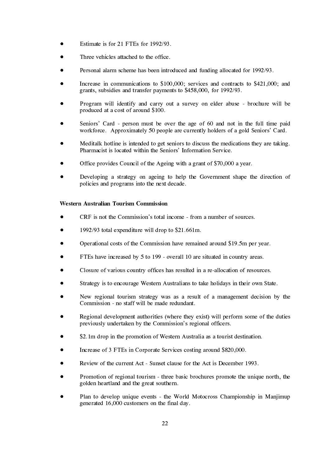- Estimate is for 21 FTEs for 1992/93.
- Three vehicles attached to the office.
- Personal alarm scheme has been introduced and funding allocated for 1992/93.
- Increase in communications to \$100,000; services and contracts to \$421,000; and grants, subsidies and transfer payments to \$458,000, for 1992/93.
- Program will identify and carry out a survey on elder abuse brochure will be produced at a cost of around \$100.
- Seniors' Card person must be over the age of 60 and not in the full time paid workforce. Approximately 50 people are currently holders of a gold Seniors' Card.
- Meditalk hotline is intended to get seniors to discuss the medications they are taking. Pharmacist is located within the Seniors' Information Service.
- Office provides Council of the Ageing with a grant of \$70,000 a year.
- Developing a strategy on ageing to help the Government shape the direction of policies and programs into the next decade.

#### **Western Australian Tourism Commission**

- CRF is not the Commission's total income from a number of sources.
- 1992/93 total expenditure will drop to \$21.661m.
- Operational costs of the Commission have remained around \$19.5m per year.
- FTEs have increased by 5 to 199 overall 10 are situated in country areas.
- Closure of various country offices has resulted in a re-allocation of resources.
- Strategy is to encourage Western Australians to take holidays in their own State.
- New regional tourism strategy was as a result of a management decision by the Commission - no staff will be made redundant.
- Regional development authorities (where they exist) will perform some of the duties previously undertaken by the Commission's regional officers.
- \$2.1m drop in the promotion of Western Australia as a tourist destination.
- Increase of 3 FTEs in Corporate Services costing around \$820,000.
- Review of the current Act Sunset clause for the Act is December 1993.
- Promotion of regional tourism three basic brochures promote the unique north, the golden heartland and the great southern.
- Plan to develop unique events the World Motocross Championship in Manjimup generated  $16,000$  customers on the final day.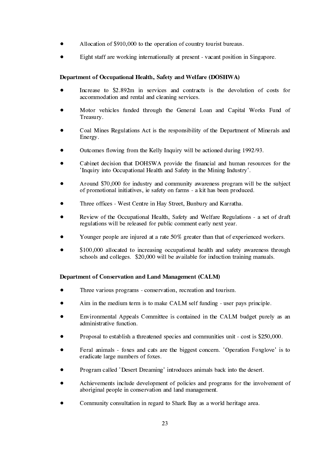- Allocation of \$910,000 to the operation of country tourist bureaus.
- Eight staff are working internationally at present vacant position in Singapore.

#### Department of Occupational Health, Safety and Welfare (DOSHWA)

- Increase to \$2.892m in services and contracts is the devolution of costs for accommodation and rental and cleaning services.
- Motor vehicles funded through the General Loan and Capital Works Fund of Treasury.
- Coal Mines Regulations Act is the responsibility of the Department of Minerals and Energy.
- Outcomes flowing from the Kelly Inquiry will be actioned during 1992/93.
- Cabinet decision that DOHSWA provide the financial and human resources for the 'Inquiry into Occupational Health and Safety in the Mining Industry'.
- Around \$70,000 for industry and community awareness program will be the subject of promotional initiatives, ie safety on farms - a kit has been produced.
- Three offices West Centre in Hay Street, Bunbury and Karratha.
- Review of the Occupational Health, Safety and Welfare Regulations a set of draft regulations will be released for public comment early next year.
- Younger people are injured at a rate 50% greater than that of experienced workers.
- \$100,000 allocated to increasing occupational health and safety awareness through schools and colleges. \$20,000 will be available for induction training manuals.

#### Department of Conservation and Land Management (CALM)

- Three various programs conservation, recreation and tourism.
- Aim in the medium term is to make CALM self funding user pays principle.
- Environmental Appeals Committee is contained in the CALM budget purely as an administrative function.
- Proposal to establish a threatened species and communities unit cost is \$250,000.
- Feral animals foxes and cats are the biggest concern. 'Operation Foxglove' is to eradicate large numbers of foxes.
- Program called 'Desert Dreaming' introduces animals back into the desert.
- Achievements include development of policies and programs for the involvement of aboriginal people in conservation and land management.
- Community consultation in regard to Shark Bay as a world heritage area.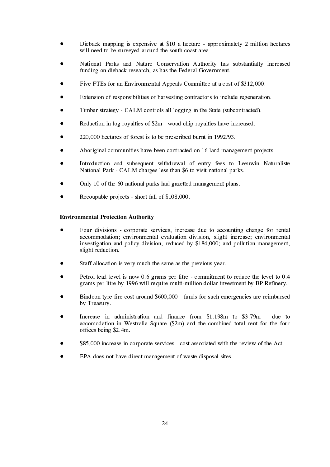- Dieback mapping is expensive at \$10 a hectare approximately 2 million hectares will need to be surveyed around the south coast area.
- National Parks and Nature Conservation Authority has substantially increased funding on dieback research, as has the Federal Government.
- Five FTEs for an Environmental Appeals Committee at a cost of \$312,000.
- Extension of responsibilities of harvesting contractors to include regeneration.
- Timber strategy CALM controls all logging in the State (subcontracted).
- Reduction in log royalties of \$2m wood chip royalties have increased.
- 220,000 hectares of forest is to be prescribed burnt in 1992/93.
- Aboriginal communities have been contracted on 16 land management projects.
- Introduction and subsequent withdrawal of entry fees to Leeuwin Naturaliste National Park - CALM charges less than \$6 to visit national parks.
- Only 10 of the 60 national parks had gazetted management plans.
- Recoupable projects short fall of \$108,000.

#### **Environmental Protection Authority**

- Four divisions corporate services, increase due to accounting change for rental accommodation; environmental evaluation division, slight increase; environmental investigation and policy division, reduced by \$184,000; and pollution management, slight reduction.
- Staff allocation is very much the same as the previous year.
- Petrol lead level is now 0.6 grams per litre commitment to reduce the level to 0.4 grams per litre by 1996 will require multi-million dollar investment by BP Refinery.
- Bindoon tyre fire cost around \$600,000 funds for such emergencies are reimbursed by Treasury.
- Increase in administration and finance from  $$1.198m$  to  $$3.79m$  due to accomodation in Westralia Square (\$2m) and the combined total rent for the four offices being \$2.4m.
- \$85,000 increase in corporate services cost associated with the review of the Act.
- EPA does not have direct management of waste disposal sites.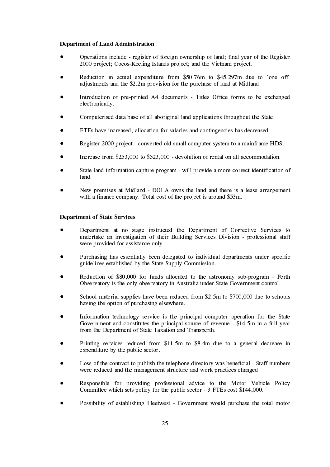#### Department of Land Administration

- Operations include register of foreign ownership of land; final year of the Register 2000 project; Cocos-Keeling Islands project; and the Vietnam project.
- Reduction in actual expenditure from \$50.76m to \$45.297m due to 'one off' adjustments and the \$2.2m provision for the purchase of land at Midland.
- Introduction of pre-printed A4 documents Titles Office forms to be exchanged electronically.
- Computerised data base of all aboriginal land applications throughout the State.
- FTEs have increased, allocation for salaries and contingencies has decreased.
- Register 2000 project converted old small computer system to a mainframe HDS.
- Increase from \$253,000 to \$523,000 devolution of rental on all accommodation.
- State land information capture program will provide a more correct identification of land.
- New premises at Midland DOLA owns the land and there is a lease arrangement with a finance company. Total cost of the project is around \$53m.

#### **Department of State Services**

- Department at no stage instructed the Department of Corrective Services to undertake an investigation of their Building Services Division - professional staff were provided for assistance only.
- Purchasing has essentially been delegated to individual departments under specific guidelines established by the State Supply Commission.
- Reduction of \$80,000 for funds allocated to the astronomy sub-program Perth Observatory is the only observatory in Australia under State Government control.
- School material supplies have been reduced from \$2.5m to \$700,000 due to schools having the option of purchasing elsewhere.
- Information technology service is the principal computer operation for the State Government and constitutes the principal source of revenue - \$14.5m in a full year from the Department of State Taxation and Transperth.
- Printing services reduced from  $$11.5m$  to  $$8.4m$  due to a general decrease in expenditure by the public sector.
- Loss of the contract to publish the telephone directory was beneficial Staff numbers were reduced and the management structure and work practices changed.
- Responsible for providing professional advice to the Motor Vehicle Policy Committee which sets policy for the public sector - 3 FTEs cost \$144,000.
- Possibility of establishing Fleetwest Government would purchase the total motor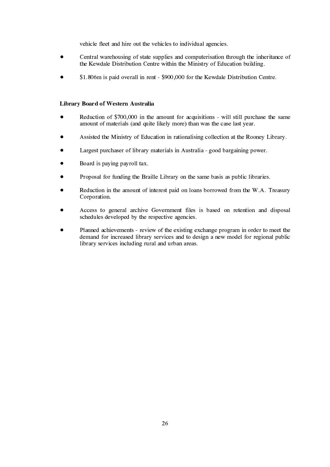vehicle fleet and hire out the vehicles to individual agencies.

- Central warehousing of state supplies and computerisation through the inheritance of the Kewdale Distribution Centre within the Ministry of Education building.
- \$1.806m is paid overall in rent \$900,000 for the Kewdale Distribution Centre.

#### Library Board of Western Australia

- Reduction of \$700,000 in the amount for acquisitions will still purchase the same amount of materials (and quite likely more) than was the case last year.
- Assisted the Ministry of Education in rationalising collection at the Rooney Library.
- Largest purchaser of library materials in Australia good bargaining power.
- Board is paying payroll tax.
- Proposal for funding the Braille Library on the same basis as public libraries.
- Reduction in the amount of interest paid on loans borrowed from the W.A. Treasury Corporation.
- Access to general archive Government files is based on retention and disposal schedules developed by the respective agencies.
- Planned achievements review of the existing exchange program in order to meet the demand for increased library services and to design a new model for regional public library services including rural and urban areas.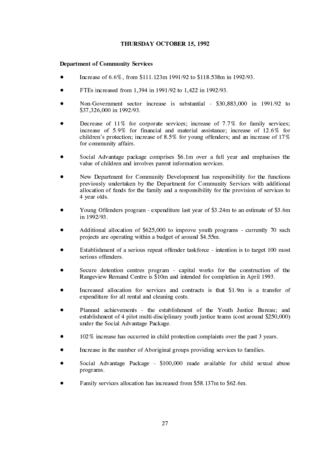#### THURSDAY OCTOBER 15, 1992

#### **Department of Community Services**

- Increase of 6.6%, from \$111.123m 1991/92 to \$118.538m in 1992/93.
- FTEs increased from 1,394 in 1991/92 to 1,422 in 1992/93.
- Non-Government sector increase is substantial \$30,883,000 in 1991/92 to \$37,326,000 in 1992/93.
- Decrease of 11% for corporate services; increase of 7.7% for family services; increase of 5.9% for financial and material assistance; increase of 12.6% for children's protection; increase of 8.5% for young offenders; and an increase of  $17\%$ for community affairs.
- Social Advantage package comprises \$6.1m over a full year and emphasises the value of children and involves parent information services.
- New Department for Community Development has responsibility for the functions previously undertaken by the Department for Community Services with additional allocation of funds for the family and a responsibility for the provision of services to 4 year olds.
- Young Offenders program expenditure last year of \$3.24m to an estimate of \$3.6m in 1992/93.
- Additional allocation of \$625,000 to improve youth programs currently 70 such projects are operating within a budget of around \$4.55m.
- Establishment of a serious repeat offender taskforce intention is to target 100 most serious offenders.
- Secure detention centres program capital works for the construction of the Rangeview Remand Centre is \$10m and intended for completion in April 1993.
- Increased allocation for services and contracts is that \$1.9m is a transfer of expenditure for all rental and cleaning costs.
- Planned achievements the establishment of the Youth Justice Bureau; and establishment of 4 pilot multi-disciplinary youth justice teams (cost around \$250,000) under the Social Advantage Package.
- 102% increase has occurred in child protection complaints over the past 3 years.
- Increase in the number of Aboriginal groups providing services to families.
- Social Advantage Package \$100,000 made available for child sexual abuse programs.
- Family services allocation has increased from \$58.137m to \$62.6m.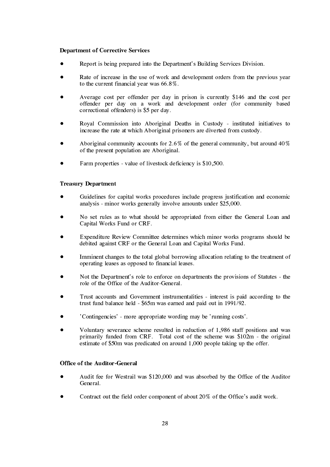#### **Department of Corrective Services**

- Report is being prepared into the Department's Building Services Division.
- Rate of increase in the use of work and development orders from the previous year to the current financial year was  $66.8\%$ .
- Average cost per offender per day in prison is currently \$146 and the cost per offender per day on a work and development order (for community based correctional offenders) is \$5 per day.
- Royal Commission into Aboriginal Deaths in Custody instituted initiatives to increase the rate at which Aboriginal prisoners are diverted from custody.
- Aboriginal community accounts for 2.6% of the general community, but around  $40\%$ of the present population are Aboriginal.
- Farm properties value of livestock deficiency is \$10,500.

#### **Treasury Department**

- Guidelines for capital works procedures include progress justification and economic analysis - minor works generally involve amounts under  $\frac{$25,000}{8,000}$ .
- No set rules as to what should be appropriated from either the General Loan and Capital Works Fund or CRF.
- Expenditure Review Committee determines which minor works programs should be debited against CRF or the General Loan and Capital Works Fund.
- Imminent changes to the total global borrowing allocation relating to the treatment of operating leases as opposed to financial leases.
- Not the Department's role to enforce on departments the provisions of Statutes the role of the Office of the Auditor-General
- Trust accounts and Government instrumentalities interest is paid according to the trust fund balance held  $-$  \$65m was earned and paid out in 1991/92.
- 'Contingencies' more appropriate wording may be 'running costs'.
- Voluntary severance scheme resulted in reduction of 1.986 staff positions and was primarily funded from CRF. Total cost of the scheme was \$102m - the original estimate of \$50m was predicated on around 1,000 people taking up the offer.

#### Office of the Auditor-General

- Audit fee for Westrail was \$120,000 and was absorbed by the Office of the Auditor General.
- Contract out the field order component of about 20% of the Office's audit work.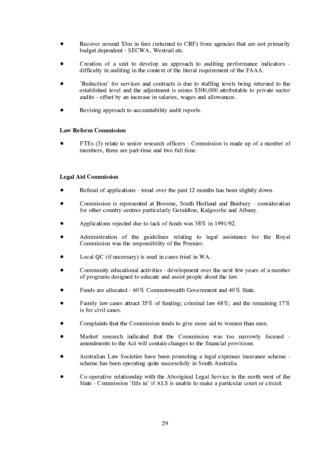- Recover around \$3m in fees (returned to CRF) from agencies that are not primarily budget dependent - SECWA, Westrail etc.
- Creation of a unit to develop an approach to auditing performance indicators difficulty in auditing in the context of the literal requirement of the FAAA.
- 'Reduction' for services and contracts is due to staffing levels being returned to the established level and the adjustment is minus \$300,000 attributable to private sector audits - offset by an increase in salaries, wages and allowances.
- Revising approach to accountability audit reports.

#### **Law Reform Commission**

FTEs (3) relate to senior research officers - Commission is made up of a number of members, three are part-time and two full time.

#### **Legal Aid Commission**

- Refusal of applications trend over the past 12 months has been slightly down.
- Commission is represented at Broome, South Hedland and Bunbury consideration for other country centres particularly Geraldton, Kalgoorlie and Albany.
- Applications rejected due to lack of funds was 38% in 1991/92.
- Administration of the guidelines relating to legal assistance for the Royal Commission was the responsibility of the Premier.
- Local QC (if necessary) is used in cases tried in WA.
- Community educational activities development over the next few years of a number of programs designed to educate and assist people about the law.
- Funds are allocated 60% Commonwealth Government and 40% State.
- Family law cases attract 35% of funding: criminal law  $48\%$ ; and the remaining 17% is for civil cases.
- Complaints that the Commission tends to give more aid to women than men.
- Market research indicated that the Commission was too narrowly focused amendments to the Act will contain changes to the financial provisions.
- Australian Law Societies have been promoting a legal expenses insurance scheme scheme has been operating quite successfully in South Australia.
- Co-operative relationship with the Aboriginal Legal Service in the north west of the State - Commission 'fills in' if ALS is unable to make a particular court or circuit.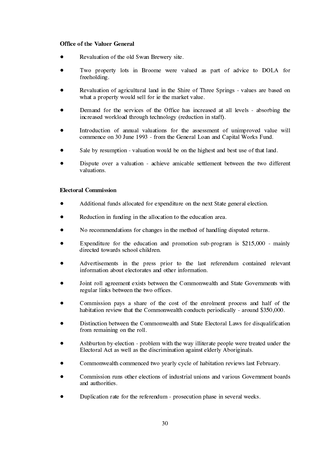#### **Office of the Valuer General**

- Revaluation of the old Swan Brewery site.
- Two property lots in Broome were valued as part of advice to DOLA for freeholding.
- Revaluation of agricultural land in the Shire of Three Springs values are based on what a property would sell for ie the market value.
- Demand for the services of the Office has increased at all levels absorbing the increased workload through technology (reduction in staff).
- Introduction of annual valuations for the assessment of unimproved value will commence on 30 June 1993 - from the General Loan and Capital Works Fund.
- Sale by resumption valuation would be on the highest and best use of that land.
- Dispute over a valuation achieve amicable settlement between the two different valuations.

#### **Electoral Commission**

- Additional funds allocated for expenditure on the next State general election.
- Reduction in funding in the allocation to the education area.
- No recommendations for changes in the method of handling disputed returns.
- Expenditure for the education and promotion sub-program is  $$215,000$  mainly directed towards school children.
- Advertisements in the press prior to the last referendum contained relevant information about electorates and other information.
- Joint roll agreement exists between the Commonwealth and State Governments with regular links between the two offices.
- Commission pays a share of the cost of the enrolment process and half of the habitation review that the Commonwealth conducts periodically - around \$350,000.
- Distinction between the Commonwealth and State Electoral Laws for disqualification from remaining on the roll.
- Ashburton by-election problem with the way illiterate people were treated under the Electoral Act as well as the discrimination against elderly Aboriginals.
- Commonwealth commenced two vearly cycle of habitation reviews last February.
- Commission runs other elections of industrial unions and various Government boards and authorities.
- Duplication rate for the referendum prosecution phase in several weeks.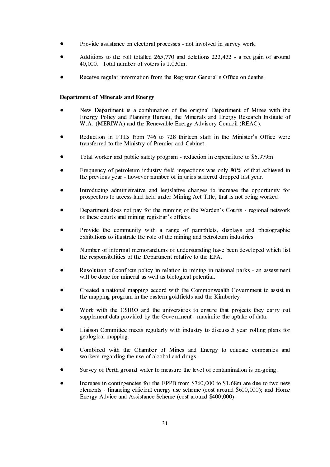- Provide assistance on electoral processes not involved in survey work.
- Additions to the roll totalled  $265,770$  and deletions  $223,432$  a net gain of around 40,000. Total number of voters is 1.030m.
- Receive regular information from the Registrar General's Office on deaths.

#### **Department of Minerals and Energy**

- New Department is a combination of the original Department of Mines with the Energy Policy and Planning Bureau, the Minerals and Energy Research Institute of W.A. (MERIWA) and the Renewable Energy Advisory Council (REAC).
- Reduction in FTEs from 746 to 728 thirteen staff in the Minister's Office were transferred to the Ministry of Premier and Cabinet.
- Total worker and public safety program reduction in expenditure to \$6.979m.
- Frequency of petroleum industry field inspections was only 80% of that achieved in the previous year - however number of injuries suffered dropped last year.
- Introducing administrative and legislative changes to increase the opportunity for prospectors to access land held under Mining Act Title, that is not being worked.
- Department does not pay for the running of the Warden's Courts regional network of these courts and mining registrar's offices.
- Provide the community with a range of pamphlets, displays and photographic exhibitions to illustrate the role of the mining and petroleum industries.
- Number of informal memorandums of understanding have been developed which list the responsibilities of the Department relative to the EPA.
- Resolution of conflicts policy in relation to mining in national parks an assessment will be done for mineral as well as biological potential.
- Created a national mapping accord with the Commonwealth Government to assist in the mapping program in the eastern goldfields and the Kimberley.
- Work with the CSIRO and the universities to ensure that projects they carry out supplement data provided by the Government - maximise the uptake of data.
- Liaison Committee meets regularly with industry to discuss 5 year rolling plans for geological mapping.
- Combined with the Chamber of Mines and Energy to educate companies and workers regarding the use of alcohol and drugs.
- Survey of Perth ground water to measure the level of contamination is on-going.
- Increase in contingencies for the EPPB from \$760,000 to \$1.68m are due to two new elements - financing efficient energy use scheme (cost around \$600,000); and Home Energy Advice and Assistance Scheme (cost around \$400,000).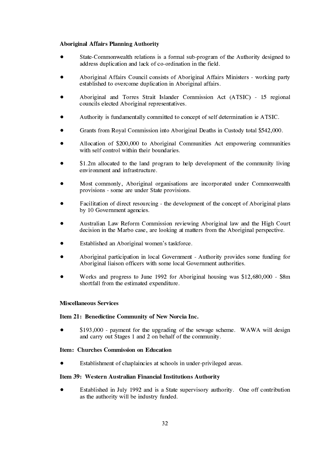#### Aboriginal Affairs Planning Authority

- $\bullet$ State-Commonwealth relations is a formal sub-program of the Authority designed to address duplication and lack of co-ordination in the field.
- $\bullet$ Aboriginal Affairs Council consists of Aboriginal Affairs Ministers - working party established to overcome duplication in Aboriginal affairs.
- $\bullet$ • Aboriginal and Torres Strait Islander Commission Act (ATSIC) - 15 regional councils elected Aboriginal representatives.
- $\bullet$ Authority is fundamentally committed to concept of self determination ie ATSIC.
- $\bullet$ Grants from Royal Commission into Aboriginal Deaths in Custody total \$542,000.
- $\bullet$ Allocation of \$200,000 to Aboriginal Communities Act empowering communities with self control within their boundaries.
- $\bullet$  $$1.2m$  allocated to the land program to help development of the community living environment and infrastructure.
- $\bullet$ Most commonly, Aboriginal organisations are incorporated under Commonwealth provisions - some are under State provisions.
- $\bullet$ Facilitation of direct resourcing - the development of the concept of Aboriginal plans by 10 Government agencies.
- $\bullet$ Australian Law Reform Commission reviewing Aboriginal law and the High Court decision in the Marbo case, are looking at matters from the Aboriginal perspective.
- $\bullet$ Established an Aboriginal women's taskforce.
- $\bullet$ Aboriginal participation in local Government - Authority provides some funding for Aboriginal liaison officers with some local Government authorities.
- $\bullet$ Works and progress to June 1992 for Aboriginal housing was  $$12,680,000 - $8m$ shortfall from the estimated expenditure.

#### **Miscellaneous Services**

#### Item 21: Benedictine Community of New Norcia Inc.

 $\bullet$ \$193,000 - payment for the upgrading of the sewage scheme. WAWA will design and carry out Stages 1 and 2 on behalf of the community.

#### **Item:** Churches Commission on Education

 $\bullet$ Establishment of chaplaincies at schools in under-privileged areas.

#### Item 39: Western Australian Financial Institutions Authority

 $\bullet$ Established in July 1992 and is a State supervisory authority. One off contribution as the authority will be industry funded.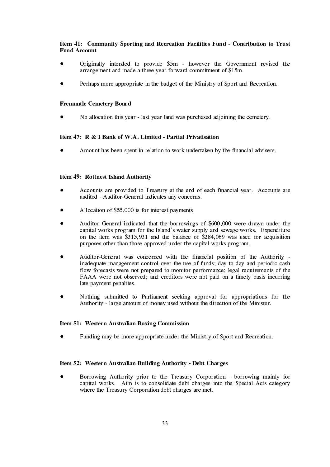#### Item 41: Community Sporting and Recreation Facilities Fund - Contribution to Trust **Fund Account**

- Originally intended to provide \$5m however the Government revised the arrangement and made a three year forward commitment of \$15m.
- Perhaps more appropriate in the budget of the Ministry of Sport and Recreation.

#### **Fremantle Cemetery Board**

No allocation this year - last year land was purchased adjoining the cemetery.

#### Item 47: R & I Bank of W.A. Limited - Partial Privatisation

Amount has been spent in relation to work undertaken by the financial advisers.

#### Item 49: Rottnest Island Authority

- Accounts are provided to Treasury at the end of each financial year. Accounts are audited - Auditor-General indicates any concerns.
- Allocation of \$55,000 is for interest payments.
- Auditor General indicated that the borrowings of \$600,000 were drawn under the capital works program for the Island's water supply and sewage works. Expenditure on the item was \$315,931 and the balance of \$284,069 was used for acquisition purposes other than those approved under the capital works program.
- Auditor-General was concerned with the financial position of the Authority inadequate management control over the use of funds; day to day and periodic cash flow forecasts were not prepared to monitor performance; legal requirements of the FAAA were not observed: and creditors were not paid on a timely basis incurring late payment penalties.
- Nothing submitted to Parliament seeking approval for appropriations for the Authority - large amount of money used without the direction of the Minister.

#### Item 51: Western Australian Boxing Commission

Funding may be more appropriate under the Ministry of Sport and Recreation.

#### Item 52: Western Australian Building Authority - Debt Charges

Borrowing Authority prior to the Treasury Corporation - borrowing mainly for capital works. Aim is to consolidate debt charges into the Special Acts category where the Treasury Corporation debt charges are met.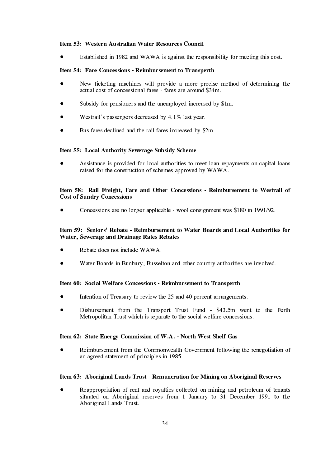#### Item 53: Western Australian Water Resources Council

Established in 1982 and WAWA is against the responsibility for meeting this cost.

#### Item 54: Fare Concessions - Reimbursement to Transperth

- New ticketing machines will provide a more precise method of determining the actual cost of concessional fares - fares are around \$34m.
- Subsidy for pensioners and the unemployed increased by \$1m.
- Westrail's passengers decreased by 4.1% last year.
- Bus fares declined and the rail fares increased by \$2m.

#### Item 55: Local Authority Sewerage Subsidy Scheme

Assistance is provided for local authorities to meet loan repayments on capital loans raised for the construction of schemes approved by WAWA.

#### Item 58: Rail Freight, Fare and Other Concessions - Reimbursement to Westrail of **Cost of Sundry Concessions**

Concessions are no longer applicable - wool consignment was \$180 in 1991/92.

#### Item 59: Seniors' Rebate - Reimbursement to Water Boards and Local Authorities for Water, Sewerage and Drainage Rates Rebates

- Rebate does not include WAWA.
- Water Boards in Bunbury, Busselton and other country authorities are involved.

#### Item 60: Social Welfare Concessions - Reimbursement to Transperth

- Intention of Treasury to review the 25 and 40 percent arrangements.
- Disbursement from the Transport Trust Fund \$43.5m went to the Perth Metropolitan Trust which is separate to the social welfare concessions.

#### Item 62: State Energy Commission of W.A. - North West Shelf Gas

Reimbursement from the Commonwealth Government following the renegotiation of an agreed statement of principles in 1985.

#### Item 63: Aboriginal Lands Trust - Remuneration for Mining on Aboriginal Reserves

Reappropriation of rent and royalties collected on mining and petroleum of tenants situated on Aboriginal reserves from 1 January to 31 December 1991 to the Aboriginal Lands Trust.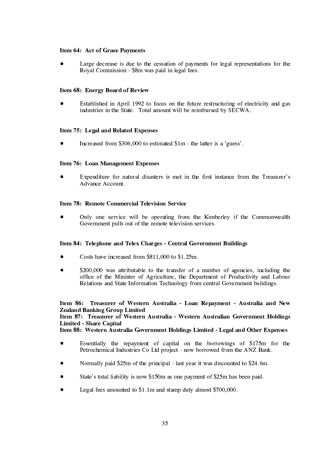#### Item 64: Act of Grace Payments

Large decrease is due to the cessation of payments for legal representations for the Royal Commission - \$8m was paid in legal fees.

#### Item 68: Energy Board of Review

Established in April 1992 to focus on the future restructuring of electricity and gas industries in the State. Total amount will be reimbursed by SECWA.

#### Item 75: Legal and Related Expenses

Increased from \$306,000 to estimated \$1m - the latter is a 'guess'.

#### Item 76: Loan Management Expenses

Expenditure for natural disasters is met in the first instance from the Treasurer's Advance Account.

#### Item 78: Remote Commercial Television Service

Only one service will be operating from the Kimberley if the Commonwealth Government pulls out of the remote television services.

#### Item 84: Telephone and Telex Charges - Central Government Buildings

- Costs have increased from \$811,000 to \$1.25m.
- \$200,000 was attributable to the transfer of a number of agencies, including the office of the Minister of Agriculture, the Department of Productivity and Labour Relations and State Information Technology from central Government buildings.

## Item 86: Treasurer of Western Australia - Loan Repayment - Australia and New **Zealand Banking Group Limited**

#### Item 87: Treasurer of Western Australia - Western Australian Government Holdings **Limited - Share Capital**

Item 88: Western Australia Government Holdings Limited - Legal and Other Expenses

- Essentially the repayment of capital on the borrowings of \$175m for the Petrochemical Industries Co Ltd project - now borrowed from the ANZ Bank.
- Normally paid \$25m of the principal last year it was discounted to \$24.6m.
- State's total liability is now \$150m as one payment of \$25m has been paid.
- Legal fees amounted to \$1.1m and stamp duty almost \$700,000.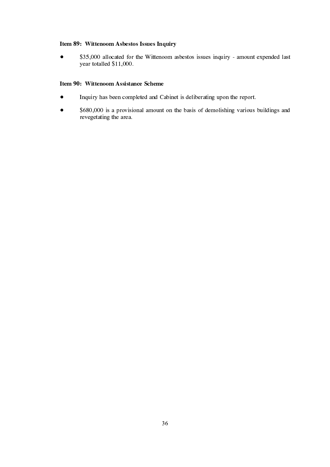#### Item 89: Wittenoom Asbestos Issues Inquiry

\$35,000 allocated for the Wittenoom asbestos issues inquiry - amount expended last  $\bullet$ year totalled \$11,000.

#### Item 90: Wittenoom Assistance Scheme

- Inquiry has been completed and Cabinet is deliberating upon the report.  $\bullet$
- \$680,000 is a provisional amount on the basis of demolishing various buildings and  $\bullet$ revegetating the area.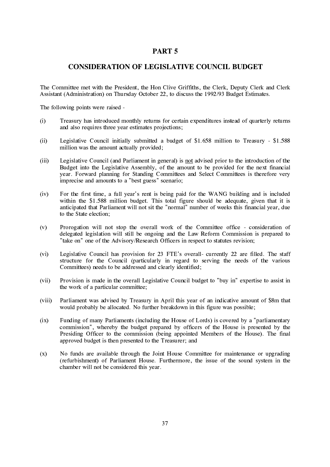#### PART 5

#### **CONSIDERATION OF LEGISLATIVE COUNCIL BUDGET**

The Committee met with the President, the Hon Clive Griffiths, the Clerk, Deputy Clerk and Clerk Assistant (Administration) on Thursday October 22, to discuss the 1992/93 Budget Estimates.

The following points were raised -

- $(i)$ Treasury has introduced monthly returns for certain expenditures instead of quarterly returns and also requires three year estimates projections;
- Legislative Council initially submitted a budget of \$1.658 million to Treasury \$1.588  $(ii)$ million was the amount actually provided;
- Legislative Council (and Parliament in general) is not advised prior to the introduction of the  $(iii)$ Budget into the Legislative Assembly, of the amount to be provided for the next financial vear. Forward planning for Standing Committees and Select Committees is therefore very imprecise and amounts to a "best guess" scenario;
- For the first time, a full year's rent is being paid for the WANG building and is included  $(iv)$ within the \$1.588 million budget. This total figure should be adequate, given that it is anticipated that Parliament will not sit the "normal" number of weeks this financial year, due to the State election:
- Prorogation will not stop the overall work of the Committee office consideration of  $(v)$ delegated legislation will still be ongoing and the Law Reform Commission is prepared to "take on" one of the Advisory/Research Officers in respect to statutes revision:
- $(vi)$ Legislative Council has provision for 23 FTE's overall- currently 22 are filled. The staff structure for the Council (particularly in regard to serving the needs of the various Committees) needs to be addressed and clearly identified:
- $(vii)$ Provision is made in the overall Legislative Council budget to "buy in" expertise to assist in the work of a particular committee;
- Parliament was advised by Treasury in April this year of an indicative amount of \$8m that  $(viii)$ would probably be allocated. No further breakdown in this figure was possible;
- Funding of many Parliaments (including the House of Lords) is covered by a "parliamentary  $(ix)$ commission", whereby the budget prepared by officers of the House is presented by the Presiding Officer to the commission (being appointed Members of the House). The final approved budget is then presented to the Treasurer; and
- $(x)$ No funds are available through the Joint House Committee for maintenance or upgrading (refurbishment) of Parliament House. Furthermore, the issue of the sound system in the chamber will not be considered this year.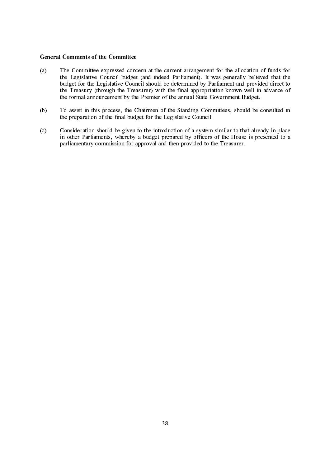#### **General Comments of the Committee**

- The Committee expressed concern at the current arrangement for the allocation of funds for  $(a)$ the Legislative Council budget (and indeed Parliament). It was generally believed that the budget for the Legislative Council should be determined by Parliament and provided direct to the Treasury (through the Treasurer) with the final appropriation known well in advance of the formal announcement by the Premier of the annual State Government Budget.
- $(b)$ To assist in this process, the Chairmen of the Standing Committees, should be consulted in the preparation of the final budget for the Legislative Council.
- $(c)$ Consideration should be given to the introduction of a system similar to that already in place in other Parliaments, whereby a budget prepared by officers of the House is presented to a parliamentary commission for approval and then provided to the Treasurer.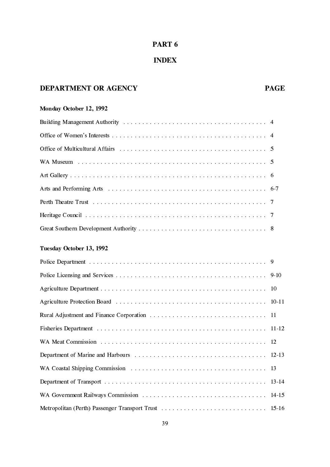### PART 6

## **INDEX**

### DEPARTMENT OR AGENCY

## **PAGE**

## Monday October 12, 1992

### Tuesday October 13, 1992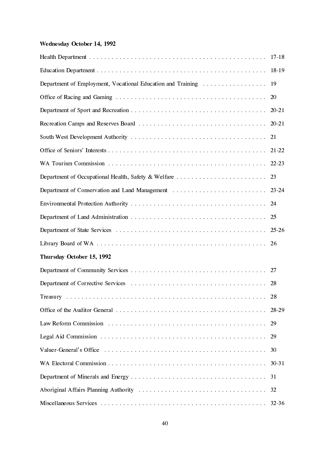## Wednesday October 14, 1992

| Department of Employment, Vocational Education and Training | 19        |
|-------------------------------------------------------------|-----------|
|                                                             | <b>20</b> |
|                                                             |           |
|                                                             |           |
|                                                             | 21        |
|                                                             |           |
|                                                             |           |
| Department of Occupational Health, Safety & Welfare         | 23        |
|                                                             |           |
|                                                             |           |
|                                                             | 25        |
|                                                             |           |
|                                                             |           |
| Thursday October 15, 1992                                   |           |
|                                                             |           |
|                                                             |           |
|                                                             |           |
|                                                             |           |
|                                                             | 29        |
|                                                             | 29        |
|                                                             | 30        |
|                                                             | 30-31     |
|                                                             |           |
|                                                             | 32        |
|                                                             | 32-36     |